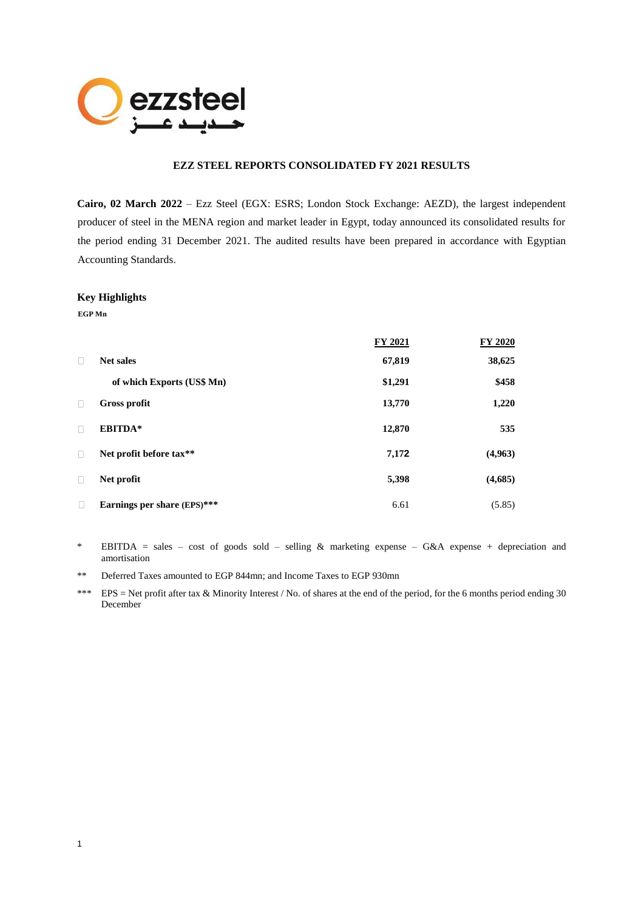

# **EZZ STEEL REPORTS CONSOLIDATED FY 2021 RESULTS**

**Cairo, 02 March 2022** – Ezz Steel (EGX: ESRS; London Stock Exchange: AEZD), the largest independent producer of steel in the MENA region and market leader in Egypt, today announced its consolidated results for the period ending 31 December 2021. The audited results have been prepared in accordance with Egyptian Accounting Standards.

#### **Key Highlights**

**EGP Mn**

|        |                             | FY 2021 | FY 2020 |
|--------|-----------------------------|---------|---------|
| П      | <b>Net sales</b>            | 67,819  | 38,625  |
|        | of which Exports (US\$ Mn)  | \$1,291 | \$458   |
| П      | <b>Gross profit</b>         | 13,770  | 1,220   |
| $\Box$ | EBITDA*                     | 12,870  | 535     |
| П      | Net profit before tax**     | 7,172   | (4,963) |
| $\Box$ | Net profit                  | 5,398   | (4,685) |
| П      | Earnings per share (EPS)*** | 6.61    | (5.85)  |

- \* EBITDA = sales cost of goods sold selling & marketing expense G&A expense + depreciation and amortisation
- \*\* Deferred Taxes amounted to EGP 844mn; and Income Taxes to EGP 930mn
- \*\*\* EPS = Net profit after tax & Minority Interest / No. of shares at the end of the period, for the 6 months period ending 30 December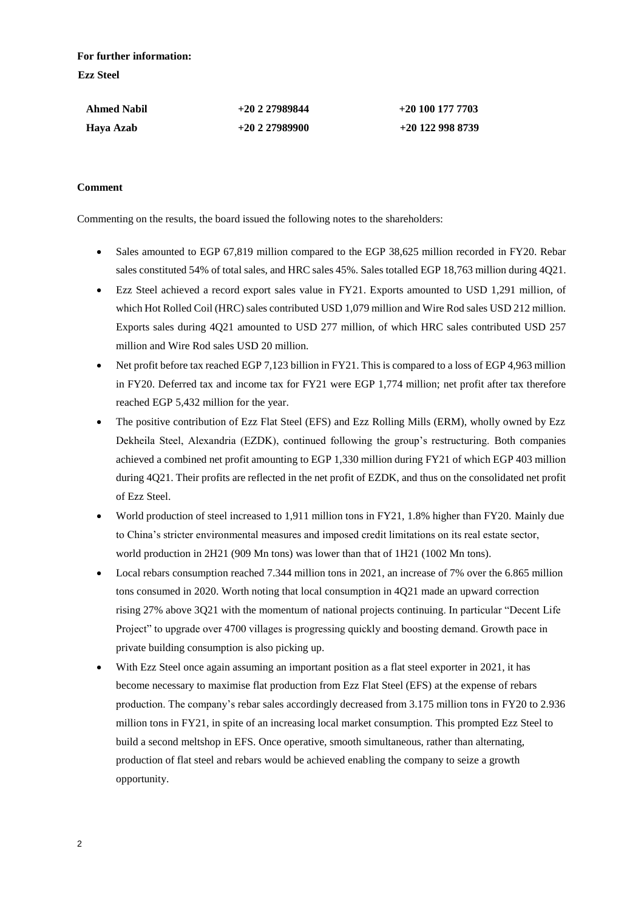**For further information: Ezz Steel**

| <b>Ahmed Nabil</b> | $+20227989844$ | $+20$ 100 177 7703 |
|--------------------|----------------|--------------------|
| Haya Azab          | $+20227989900$ | $+20$ 122 998 8739 |

# **Comment**

Commenting on the results, the board issued the following notes to the shareholders:

- Sales amounted to EGP 67,819 million compared to the EGP 38,625 million recorded in FY20. Rebar sales constituted 54% of total sales, and HRC sales 45%. Sales totalled EGP 18,763 million during 4Q21.
- Ezz Steel achieved a record export sales value in FY21. Exports amounted to USD 1,291 million, of which Hot Rolled Coil (HRC) sales contributed USD 1,079 million and Wire Rod sales USD 212 million. Exports sales during 4Q21 amounted to USD 277 million, of which HRC sales contributed USD 257 million and Wire Rod sales USD 20 million.
- Net profit before tax reached EGP 7,123 billion in FY21. This is compared to a loss of EGP 4,963 million in FY20. Deferred tax and income tax for FY21 were EGP 1,774 million; net profit after tax therefore reached EGP 5,432 million for the year.
- The positive contribution of Ezz Flat Steel (EFS) and Ezz Rolling Mills (ERM), wholly owned by Ezz Dekheila Steel, Alexandria (EZDK), continued following the group's restructuring. Both companies achieved a combined net profit amounting to EGP 1,330 million during FY21 of which EGP 403 million during 4Q21. Their profits are reflected in the net profit of EZDK, and thus on the consolidated net profit of Ezz Steel.
- World production of steel increased to 1,911 million tons in FY21, 1.8% higher than FY20. Mainly due to China's stricter environmental measures and imposed credit limitations on its real estate sector, world production in 2H21 (909 Mn tons) was lower than that of 1H21 (1002 Mn tons).
- Local rebars consumption reached 7.344 million tons in 2021, an increase of 7% over the 6.865 million tons consumed in 2020. Worth noting that local consumption in 4Q21 made an upward correction rising 27% above 3Q21 with the momentum of national projects continuing. In particular "Decent Life Project" to upgrade over 4700 villages is progressing quickly and boosting demand. Growth pace in private building consumption is also picking up.
- With Ezz Steel once again assuming an important position as a flat steel exporter in 2021, it has become necessary to maximise flat production from Ezz Flat Steel (EFS) at the expense of rebars production. The company's rebar sales accordingly decreased from 3.175 million tons in FY20 to 2.936 million tons in FY21, in spite of an increasing local market consumption. This prompted Ezz Steel to build a second meltshop in EFS. Once operative, smooth simultaneous, rather than alternating, production of flat steel and rebars would be achieved enabling the company to seize a growth opportunity.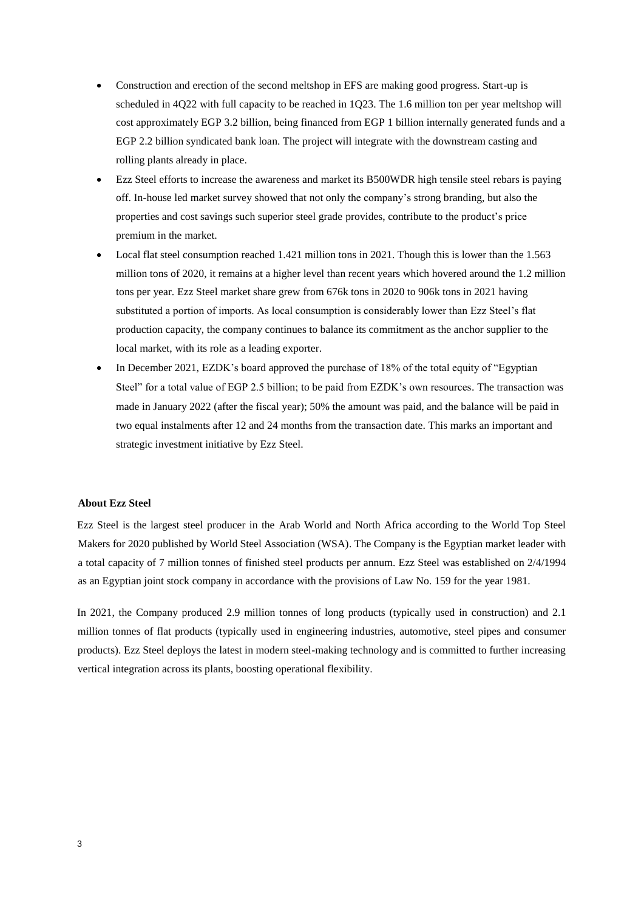- Construction and erection of the second meltshop in EFS are making good progress. Start-up is scheduled in 4Q22 with full capacity to be reached in 1Q23. The 1.6 million ton per year meltshop will cost approximately EGP 3.2 billion, being financed from EGP 1 billion internally generated funds and a EGP 2.2 billion syndicated bank loan. The project will integrate with the downstream casting and rolling plants already in place.
- Ezz Steel efforts to increase the awareness and market its B500WDR high tensile steel rebars is paying off. In-house led market survey showed that not only the company's strong branding, but also the properties and cost savings such superior steel grade provides, contribute to the product's price premium in the market.
- Local flat steel consumption reached 1.421 million tons in 2021. Though this is lower than the 1.563 million tons of 2020, it remains at a higher level than recent years which hovered around the 1.2 million tons per year. Ezz Steel market share grew from 676k tons in 2020 to 906k tons in 2021 having substituted a portion of imports. As local consumption is considerably lower than Ezz Steel's flat production capacity, the company continues to balance its commitment as the anchor supplier to the local market, with its role as a leading exporter.
- In December 2021, EZDK's board approved the purchase of 18% of the total equity of "Egyptian" Steel" for a total value of EGP 2.5 billion; to be paid from EZDK's own resources. The transaction was made in January 2022 (after the fiscal year); 50% the amount was paid, and the balance will be paid in two equal instalments after 12 and 24 months from the transaction date. This marks an important and strategic investment initiative by Ezz Steel.

# **About Ezz Steel**

Ezz Steel is the largest steel producer in the Arab World and North Africa according to the World Top Steel Makers for 2020 published by World Steel Association (WSA). The Company is the Egyptian market leader with a total capacity of 7 million tonnes of finished steel products per annum. Ezz Steel was established on 2/4/1994 as an Egyptian joint stock company in accordance with the provisions of Law No. 159 for the year 1981.

In 2021, the Company produced 2.9 million tonnes of long products (typically used in construction) and 2.1 million tonnes of flat products (typically used in engineering industries, automotive, steel pipes and consumer products). Ezz Steel deploys the latest in modern steel-making technology and is committed to further increasing vertical integration across its plants, boosting operational flexibility.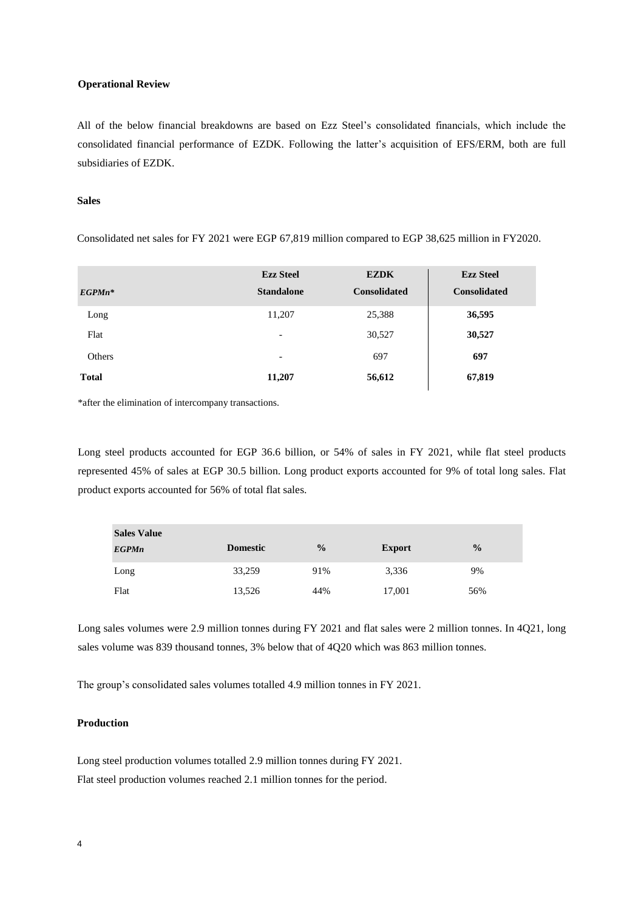#### **Operational Review**

All of the below financial breakdowns are based on Ezz Steel's consolidated financials, which include the consolidated financial performance of EZDK. Following the latter's acquisition of EFS/ERM, both are full subsidiaries of EZDK.

#### **Sales**

Consolidated net sales for FY 2021 were EGP 67,819 million compared to EGP 38,625 million in FY2020.

| $EGP M n^*$  | <b>Ezz Steel</b><br><b>Standalone</b> | <b>EZDK</b><br><b>Consolidated</b> | <b>Ezz Steel</b><br><b>Consolidated</b> |
|--------------|---------------------------------------|------------------------------------|-----------------------------------------|
| Long         | 11,207                                | 25,388                             | 36,595                                  |
| Flat         | $\overline{\phantom{0}}$              | 30,527                             | 30,527                                  |
| Others       | -                                     | 697                                | 697                                     |
| <b>Total</b> | 11,207                                | 56,612                             | 67,819                                  |

\*after the elimination of intercompany transactions.

Long steel products accounted for EGP 36.6 billion, or 54% of sales in FY 2021, while flat steel products represented 45% of sales at EGP 30.5 billion. Long product exports accounted for 9% of total long sales. Flat product exports accounted for 56% of total flat sales.

| <b>Sales Value</b> |                 |               |               |               |
|--------------------|-----------------|---------------|---------------|---------------|
| <b>EGPMn</b>       | <b>Domestic</b> | $\frac{0}{0}$ | <b>Export</b> | $\frac{0}{0}$ |
| Long               | 33,259          | 91%           | 3,336         | 9%            |
| Flat               | 13,526          | 44%           | 17,001        | 56%           |

Long sales volumes were 2.9 million tonnes during FY 2021 and flat sales were 2 million tonnes. In 4Q21, long sales volume was 839 thousand tonnes, 3% below that of 4Q20 which was 863 million tonnes.

The group's consolidated sales volumes totalled 4.9 million tonnes in FY 2021.

# **Production**

Long steel production volumes totalled 2.9 million tonnes during FY 2021. Flat steel production volumes reached 2.1 million tonnes for the period.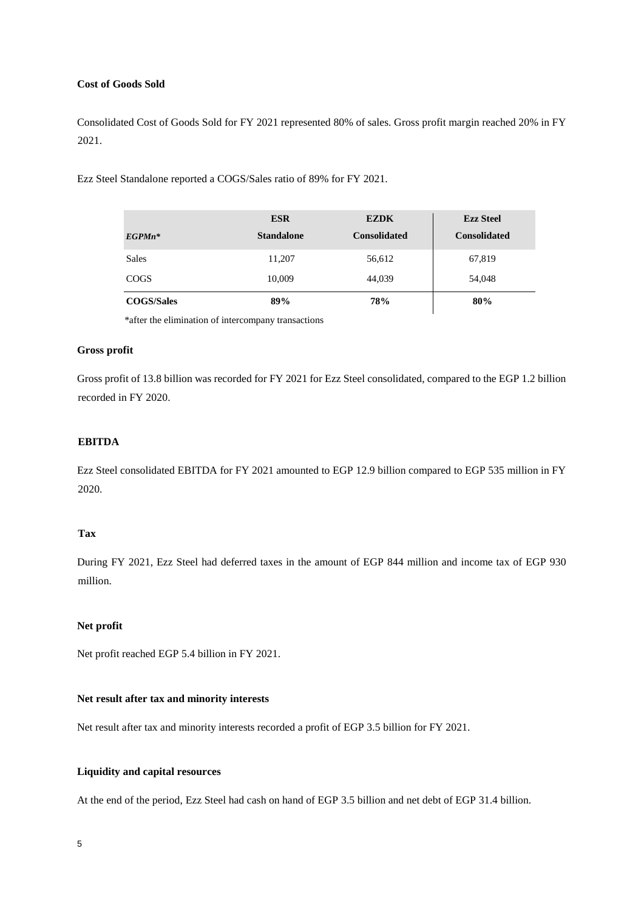# **Cost of Goods Sold**

Consolidated Cost of Goods Sold for FY 2021 represented 80% of sales. Gross profit margin reached 20% in FY 2021.

Ezz Steel Standalone reported a COGS/Sales ratio of 89% for FY 2021.

|                   | <b>ESR</b>        | <b>EZDK</b>         | <b>Ezz Steel</b>    |
|-------------------|-------------------|---------------------|---------------------|
| $EGP M n^*$       | <b>Standalone</b> | <b>Consolidated</b> | <b>Consolidated</b> |
| Sales             | 11,207            | 56,612              | 67,819              |
| <b>COGS</b>       | 10,009            | 44,039              | 54,048              |
| <b>COGS/Sales</b> | 89%               | 78%                 | 80%                 |

\*after the elimination of intercompany transactions

# **Gross profit**

Gross profit of 13.8 billion was recorded for FY 2021 for Ezz Steel consolidated, compared to the EGP 1.2 billion recorded in FY 2020.

# **EBITDA**

Ezz Steel consolidated EBITDA for FY 2021 amounted to EGP 12.9 billion compared to EGP 535 million in FY 2020.

## **Tax**

During FY 2021, Ezz Steel had deferred taxes in the amount of EGP 844 million and income tax of EGP 930 million.

## **Net profit**

Net profit reached EGP 5.4 billion in FY 2021.

## **Net result after tax and minority interests**

Net result after tax and minority interests recorded a profit of EGP 3.5 billion for FY 2021.

### **Liquidity and capital resources**

At the end of the period, Ezz Steel had cash on hand of EGP 3.5 billion and net debt of EGP 31.4 billion.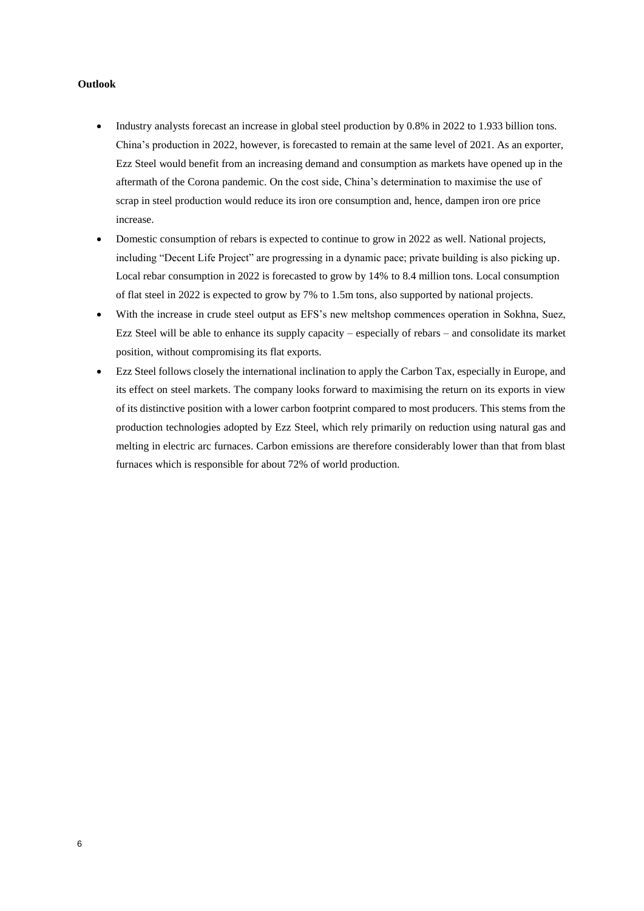# **Outlook**

- Industry analysts forecast an increase in global steel production by 0.8% in 2022 to 1.933 billion tons. China's production in 2022, however, is forecasted to remain at the same level of 2021. As an exporter, Ezz Steel would benefit from an increasing demand and consumption as markets have opened up in the aftermath of the Corona pandemic. On the cost side, China's determination to maximise the use of scrap in steel production would reduce its iron ore consumption and, hence, dampen iron ore price increase.
- Domestic consumption of rebars is expected to continue to grow in 2022 as well. National projects, including "Decent Life Project" are progressing in a dynamic pace; private building is also picking up. Local rebar consumption in 2022 is forecasted to grow by 14% to 8.4 million tons. Local consumption of flat steel in 2022 is expected to grow by 7% to 1.5m tons, also supported by national projects.
- With the increase in crude steel output as EFS's new meltshop commences operation in Sokhna, Suez, Ezz Steel will be able to enhance its supply capacity – especially of rebars – and consolidate its market position, without compromising its flat exports.
- Ezz Steel follows closely the international inclination to apply the Carbon Tax, especially in Europe, and its effect on steel markets. The company looks forward to maximising the return on its exports in view of its distinctive position with a lower carbon footprint compared to most producers. This stems from the production technologies adopted by Ezz Steel, which rely primarily on reduction using natural gas and melting in electric arc furnaces. Carbon emissions are therefore considerably lower than that from blast furnaces which is responsible for about 72% of world production.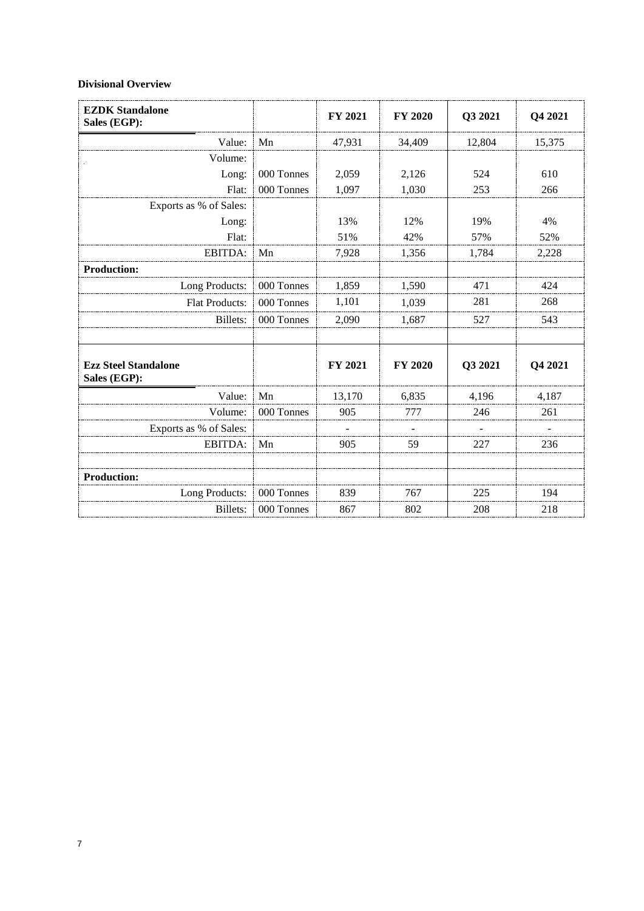# **Divisional Overview**

| <b>EZDK Standalone</b><br>Sales (EGP):      |            | FY 2021 | <b>FY 2020</b> | Q3 2021 | Q4 2021 |
|---------------------------------------------|------------|---------|----------------|---------|---------|
| Value:                                      | Mn         | 47,931  | 34,409         | 12,804  | 15,375  |
| Volume:                                     |            |         |                |         |         |
| Long:                                       | 000 Tonnes | 2,059   | 2,126          | 524     | 610     |
| Flat:                                       | 000 Tonnes | 1,097   | 1,030          | 253     | 266     |
| Exports as % of Sales:                      |            |         |                |         |         |
| Long:                                       |            | 13%     | 12%            | 19%     | 4%      |
| Flat:                                       |            | 51%     | 42%            | 57%     | 52%     |
| EBITDA:                                     | Mn         | 7,928   | 1,356          | 1,784   | 2,228   |
| <b>Production:</b>                          |            |         |                |         |         |
| Long Products:                              | 000 Tonnes | 1,859   | 1,590          | 471     | 424     |
| Flat Products:                              | 000 Tonnes | 1,101   | 1,039          | 281     | 268     |
| <b>Billets:</b>                             | 000 Tonnes | 2,090   | 1,687          | 527     | 543     |
| <b>Ezz Steel Standalone</b><br>Sales (EGP): |            | FY 2021 | <b>FY 2020</b> | Q3 2021 | Q4 2021 |
| Value:                                      | Mn         | 13,170  | 6,835          | 4,196   | 4,187   |
| Volume:                                     | 000 Tonnes | 905     | 777            | 246     | 261     |
| Exports as % of Sales:                      |            |         |                |         |         |
| EBITDA:                                     | Mn         | 905     | 59             | 227     | 236     |
| <b>Production:</b>                          |            |         |                |         |         |
| Long Products:                              | 000 Tonnes | 839     | 767            | 225     | 194     |
| Billets:                                    | 000 Tonnes | 867     | 802            | 208     | 218     |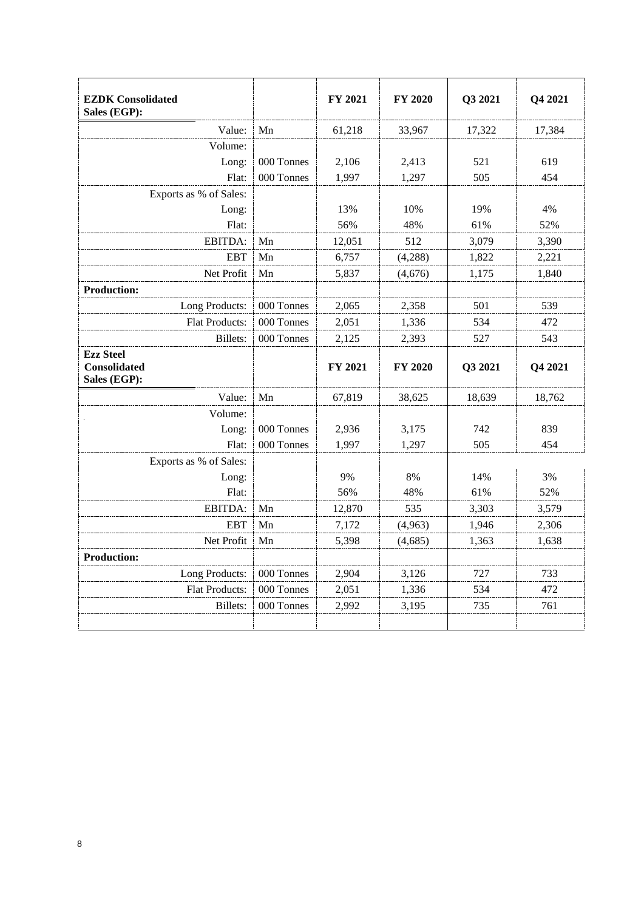| <b>EZDK</b> Consolidated<br>Sales (EGP):                |            | FY 2021        | <b>FY 2020</b> | Q3 2021 | Q4 2021 |
|---------------------------------------------------------|------------|----------------|----------------|---------|---------|
| Value:                                                  | Mn         | 61,218         | 33,967         | 17,322  | 17,384  |
| Volume:                                                 |            |                |                |         |         |
| Long:                                                   | 000 Tonnes | 2,106          | 2,413          | 521     | 619     |
| Flat:                                                   | 000 Tonnes | 1,997          | 1,297          | 505     | 454     |
| Exports as % of Sales:                                  |            |                |                |         |         |
| Long:                                                   |            | 13%            | 10%            | 19%     | 4%      |
| Flat:                                                   |            | 56%            | 48%            | 61%     | 52%     |
| EBITDA:                                                 | Mn         | 12,051         | 512            | 3,079   | 3,390   |
| <b>EBT</b>                                              | Mn         | 6,757          | (4,288)        | 1,822   | 2,221   |
| Net Profit                                              | Mn         | 5,837          | (4,676)        | 1,175   | 1,840   |
| <b>Production:</b>                                      |            |                |                |         |         |
| Long Products:                                          | 000 Tonnes | 2,065          | 2,358          | 501     | 539     |
| <b>Flat Products:</b>                                   | 000 Tonnes | 2,051          | 1,336          | 534     | 472     |
| Billets:                                                | 000 Tonnes | 2,125          | 2,393          | 527     | 543     |
| <b>Ezz Steel</b><br><b>Consolidated</b><br>Sales (EGP): |            | <b>FY 2021</b> | <b>FY 2020</b> | Q3 2021 | Q4 2021 |
| Value:                                                  | Mn         | 67,819         | 38,625         | 18,639  | 18,762  |
| Volume:                                                 |            |                |                |         |         |
| Long:                                                   | 000 Tonnes | 2,936          | 3,175          | 742     | 839     |
| Flat:                                                   | 000 Tonnes | 1,997          | 1,297          | 505     | 454     |
| Exports as % of Sales:                                  |            |                |                |         |         |
| Long:                                                   |            | 9%             | 8%             | 14%     | 3%      |
| Flat:                                                   |            | 56%            | 48%            | 61%     | 52%     |
| EBITDA:                                                 | Mn         | 12,870         | 535            | 3,303   | 3,579   |
| <b>EBT</b>                                              | Mn         | 7,172          | (4,963)        | 1,946   | 2,306   |
| Net Profit                                              | Mn         | 5,398          | (4,685)        | 1,363   | 1,638   |
| <b>Production:</b>                                      |            |                |                |         |         |
| Long Products:                                          | 000 Tonnes | 2,904          | 3,126          | 727     | 733     |
| Flat Products:                                          | 000 Tonnes | 2,051          | 1,336          | 534     | 472     |
| <b>Billets:</b>                                         | 000 Tonnes | 2,992          | 3,195          | 735     | 761     |
|                                                         |            |                |                |         |         |